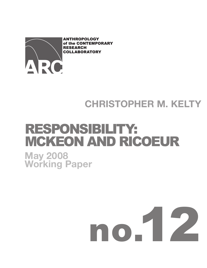

# **CHRISTOPHER M. KELTY**

# RESPONSIBILITY: MCKEON AND RICOEUR **May 2008 Working Paper**

# no.12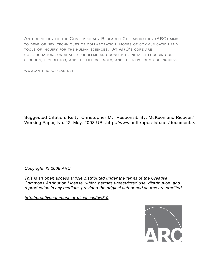ANTHROPOLOGY OF THE CONTEMPORARY RESEARCH COLLABORATORY (ARC) AIMS TO DEVELOP NEW TECHNIQUES OF COLLABORATION, MODES OF COMMUNICATION AND TOOLS OF INQUIRY FOR THE HUMAN SCIENCES. AT ARC'S CORE ARE COLLABORATIONS ON SHARED PROBLEMS AND CONCEPTS, INITIALLY FOCUSING ON SECURITY, BIOPOLITICS, AND THE LIFE SCIENCES, AND THE NEW FORMS OF INQUIRY.

WWW.ANTHROPOS- LAB.NET

Suggested Citation: Kelty, Christopher M. "Responsibility: McKeon and Ricoeur," Working Paper*,* No. 12, May, 2008 URL:http://www.anthropos-lab.net/documents/.

*Copyright: © 2008 ARC*

*This is an open access article distributed under the terms of the Creative Commons Attribution License, which permits unrestricted use, distribution, and reproduction in any medium, provided the original author and source are credited.*

*http://creativecommons.org/licenses/by/3.0*

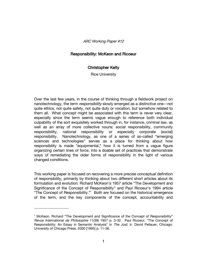# Responsibility: McKeon and Ricoeur

## **Christopher Kelty**

**Rice University** 

Over the last few years, in the course of thinking through a fieldwork project on nanotechnology, the term responsibility slowly emerged as a distinctive one-not quite ethics, not quite safety, not quite duty or vocation, but somehow related to them all. What concept might be associated with this term is never very clear, especially since the term seems vaque enough to reference both individual culpability of the sort exquisitely worked through in, for instance, criminal law, as well as an array of more collective nouns: social responsibility, community responsibility, national responsibility or especially corporate (social) responsibility. Nanotechnology, as one of a series of so-called "emerging sciences and technologies" serves as a place for thinking about how responsibility is made "equipmental," how it is turned from a vaque figure organizing certain lines of force, into a doable set of practices that demonstrate ways of remediating the older forms of responsibility in the light of various changed conditions.

This working paper is focused on recovering a more precise conceptual definition of responsibility, primarily by thinking about two different short articles about its formulation and evolution: Richard McKeon's 1957 article "The Development and Significance of the Concept of Responsibility" and Paul Ricoeur's 1994 article "The Concept of Responsibility."<sup>1</sup> Both are focused on the historical emergence of the term, and the key components of the concept, accountability and

<sup>&</sup>lt;sup>1</sup> McKeon, Richard "The Development and Significance of the Concept of Responsibility" Revue International de Philosophie 11(39) 1957 p. 3-32. Paul Ricoeur, "The Concept of Responsibility: An Essay in Semantic Analysis" in The Just, tr. David Pellauer, Chicago: University of Chicago Press, 2000 [1995] p. 11-36.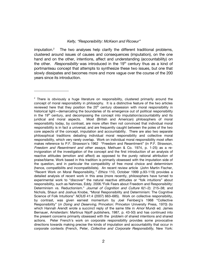imputation. $<sup>2</sup>$ </sup> The two analyses help clarify the different traditional problems, clustered around issues of causes and consequences (imputation), on the one hand and on the other, intentions, affect and understanding (accountability) on the other. *Responsibility* was introduced in the 19<sup>th</sup> century thus as a kind of portmanteau concept that attempts to synthesize these two issues, but one that slowly dissipates and becomes more and more yaque over the course of the 200 years since its introduction.

<sup>&</sup>lt;sup>2</sup> There is obviously a huge literature on responsibility, clustered primarily around the concept of moral responsibility in philosophy. It is a distinctive feature of the two articles reviewed here that they position the 20<sup>th</sup> century obsession with moral responsibility in historical light-demarcating the boundaries of its emergence out of political responsibility in the 19<sup>th</sup> century, and decomposing the concept into imputation/accountability and its juridical and moral aspects. Most (British and American) philosophers of moral responsibility today, by contrast, are more often then not convinced that individual moral responsibility is in fact a universal, and are frequently caught between the poles of the two core aspects of the concept, imputation and accountability. There are also two separate philosophical traditions debating individual moral responsibility and collective moral responsibility, which very rarely overlap. Work on individual moral responsibility most often makes reference to P.F. Strawson's 1962 "Freedom and Resentment" (in P.F. Strawson, Freedom and Resentment and other essays, Methuen & Co. 1974, p. 1-25) as a reinvigoration of the investigation of the concept and the first introduction of an analysis of reactive attitudes (emotion and affect) as opposed to the purely rational attribution of praise/blame. Work based in this tradition is primarily obsessed with the imputation side of the question, and in particular the compatibility of free moral choice and determinism (hence, compatibilits and incompatibilists). An recent review article (John Martin Fischer, "Recent Work on Moral Responsibility," Ethics 110, October 1999 p.93-119) provides a detailed analysis of recent work in this area (more recently, philosophers have turned to experimental work to "discover" the natural reactive attitudes or "folk intuitions" about responsibility, such as Nahmias, Eddy. 2006. "Folk Fears about Freedom and Responsibility: Determinism vs. Reductionism." Journal of Cognition and Culture 6(1-2): 215-38; and Nichols, Shaun and Joshua Knobe, "Moral Responsibility and Determinism: The Cognitive Science of Folk Intuitions" NOUS 41:4 (2007) 663-685). Work on collective responsibility, by contrast, was given earnest momentum by Joel Feinberg's 1968 "Collective Responsibility" (in Doing and Deserving, Princeton: Princeton University Press, 1970) (to which Hannah Arendt wrote a succinct reply of the same title in Amor Mundi ed. James Bernauer, Amsterdam: Martinus Nijoff publishers, 1987, p. 43-50) and has continued into the present concerns primarily obsessed with the problem of shared intentions and shared actions. Peter French's work on corporate responsibility provides some provocative directions towards making precise the kinds of imputation and accountability that occur in corporate contexts (French, Peter, Collective and Corporate Responsibility, New York: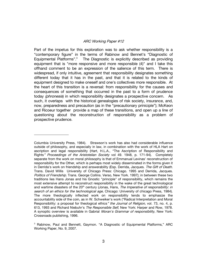Part of the impetus for this exploration was to ask whether responsibility is a "contemporary figure" in the terms of Rabinow and Bennet's "Diagnostic of Equipmental Platforms".<sup>3</sup> The Diagnostic is explicitly described as providing equipment that is "more responsive and more responsible (4)" and I take this offhand comment to be an expression of the salience of this term. There is widespread, if only intuitive, agreement that responsibility designates something different today that it has in the past, and that it is related to the kinds of equipment designed to make oneself and one's collectives more responsible. At the heart of this transition is a reversal: from responsibility for the causes and consequences of something that occurred in the past to a form of prudence today (phronesis) in which responsibility designates a prospective concern. As such, it overlaps with the historical genealogies of risk society, insurance, and, now, preparedness and precaution (as in the "precautionary priniciple"); McKeon and Ricoeur together provide a map of these transitions, and open up a line of questioning about the reconstruction of responsibility as a problem of prospective prudence.

Columbia University Press, 1984). Strawson's work has also had considerable influence outside of philosophy, and especially in law, in combination with the work of HLA Hart on ascription and legal responsibility (Hart, H.L.A., "The Ascription of Responsibility and Rights" Proceedings of the Aristotelian Society vol 49. 1948, p. 171-94). Completely separate from the work on moral philosophy is that of Emmanual Levinas' reconstruction of responsibility for the Other, which is perhaps most widely disseminated in the forms given it in Derrida's work on friendship and answerability (Esp. Derrida, Jacques. The Gift of Death. Trans. David Willis University of Chicago Press: Chicago. 1995 and Derrida, Jacques. Politics of Friendship. Trans. George Collins. Verso, New York. 1997); in between these two traditions lies Hans Jonas and his Gnostic "principle" of responsibility, which remains the most extensive attempt to reconstruct responsibility in the wake of the great technological and wartime disasters of the 20<sup>th</sup> century (Jonas, Hans, The Imperative of responsibility: in search of an ethics for the technological age, Chicago: University of chicago Press, 1984). The more theologically inflected work on responsibility tends to emphasize the accountability side of the coin, as in W. Schweiker's work ("Radical Interpretation and Moral Responsibility: a proposal for theological ethics" the Journal of Religion, vol. 73, no. 4, p. 613, 1993 and Richard Niebuhr's The Responsible Self, New York: Harper and Row, 1978. A synoptic overview is available in Gabrial Moran's Grammar of responsibility. New York: Crossroads publishing, 1996.

<sup>&</sup>lt;sup>3</sup> Rabinow, Paul and Bennett, Gaymon. "A Diagnostic of Equipmental Platforms," ARC Working Paper, No. 9, 2007.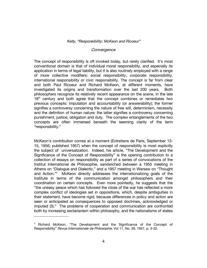#### Convergence

The concept of responsibility is oft invoked today, but rarely clarified. It's most conventional domain is that of individual moral responsibility, and especially its application in terms of legal liability, but it is also routinely employed with a range of more collective modifiers: social responsibility, corporate responsibility, international responsibility or civic responsibility. The concept is far from clear and both Paul Ricoeur and Richard McKeon, at different moments, have investigated its origins and transformation over the last 200 years. Both philosophers recognize its relatively recent appearance on the scene, in the late 18<sup>th</sup> century and both agree that the concept combines or remediates two previous concepts: imputation and accountability (or answerability); the former signifies a controversy concerning the nature of free will, determinism, necessity and the definition of human nature; the latter signifies a controversy concerning punishment, justice, obligation and duty. The complex entanglements of the two concepts are often immersed beneath the seeming clarity of the term "responsibility."

McKeon's contribution comes at a moment (Entretiens de Paris, September 13-15, 1956; published 1957) when the concept of responsibility is most explicitly the subject of universalization. Indeed, his article, "The Development and the Significance of the Concept of Responsibility" is the opening contribution to a collection of essays on responsibility as part of a series of convocations of the Institut International de Philosophie, sandwiched between a 1955 meeting in Athens on "Dialogue and Dialectic," and a 1957 meeting in Warsaw on "Thought" and Action."<sup>4</sup> McKeon directly addresses the internationalizing goals of the Institute in terms of the communication amongst philosophers and their coordination on certain concepts. Even more pointedly, he suggests that the "the uneasy peace which has followed the close of the war has reflected a more complex conflict of ideologies set in oppositions, which, despite ambiguities in their statement, have become rigid, because differences in policy and action are seen or anticipated as consequences to opposed doctrines, acknowledged or imputed (3)." The problems of cooperation and communication are confronted both by increasing sectarianism within philosophy, and the nationalisms of states

<sup>&</sup>lt;sup>4</sup> Richard McKeon, "The Development and the Significance of the Concept of Responsibility" Revue Internationale de Philosophie, Vol 11, No. 39, 1957, p. 3-32.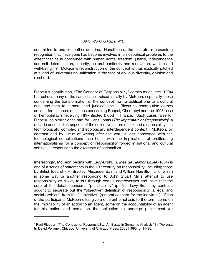committed to one or another doctrine. Nonetheless, the Institute represents a recognition that "everyone has become involved in philosophical problems to the extent that he is concerned with human rights, freedom, justice, independence and self-determination, security, cultural continuity and renovation, welfare and well-being.(4)" McKeon's reconstruction of the concept is thus explicitly pitched at a kind of universalizing unification in the face of obvious diversity, division and dischord.

Ricoeur's contribution, "The Concept of Responsibility" comes much later (1994) but echoes many of the same issues raised initially by McKeon, especially those concerning the transformation of the concept from a political one to a cultural one, and then to a moral and juridical one.<sup>5</sup> Ricoeur's contribution comes amidst, for instance, questions concerning Bhopal, Chernobyl and the 1993 case of hemophiliac's receiving HIV-infected blood in France. Such cases raise for Ricoeur, as similar ones had for Hans Jonas (The Imperative of Responsibility) a decade or so earlier, aspects of the collective nature of risk and responsibility in a technologically complex and ecologically interdependent context. McKeon, by contrast and by virtue of writing after the war, is less concerned with the technological complications than he is with the implications of proliferating internationalisms for a concept of responsibility forged in national and cultural settings in response to the excesses of nationalism.

Interestingly, McKeon begins with Levy-Bruhl. L'Idee de Responsibilite (1884) is one of a series of statements in the 19<sup>th</sup> century on responsibility, including those by British Idealist F.H. Bradley, Alexander Bain, and William Hamilton, all of which in some way or another responding to John Stuart Mill's attempt to use responsibility as a way to cut through certain controversies and insist that the core of the debate concerns "punishability" (p. 6). Levy-Bruhl, by contrast, sought to separate out the "objective" definition of responsibility (a legal and social problem) from the "subjective" (a moral concern for the individual). Each of the participants McKeon cites give a different emphasis to the term, some on the imputability of an action to an agent, some on the accountability of an agent for his action and some on the obligation to undergo punishment (or

<sup>&</sup>lt;sup>5</sup> Paul Ricoeur, "The Concept of Responsibility: An Essay in Semantic Analysis" in The Just, tr. David Pellauer, Chicago: University of Chicago Press, 2000 [1995] p. 11-36.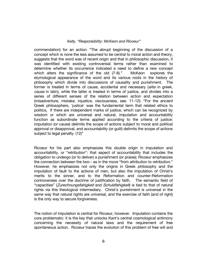commendation) for an action: "The abrupt beginning of the discussion of a concept which is none the less assumed to be central to moral action and theory, suggests that the word was of recent origin and that in philosophic discussion, it was identified with existing controversial terms rather than examined to determine whether its occurrence indicated a need to define a new concept which alters the significance of the old (7-8)." McKeon explores the etymological appearance of the word and its various roots in the history of philosophy which divide into discussions of causality and punishment. The former is treated in terms of cause, accidental and necessary (aitia in greek, causa in latin), while the latter is treated in terms of justice, and divides into a series of different senses of the relation between action and expectation (misadventure, mistake, injustice, visciousness, see. 11-12): "For the ancient Greek philosophers, 'justice' was the fundamental term that related ethics to politics, If there are independent marks of justice, which can be recognized by wisdom or which are universal and natural, imputation and accountability function as subordinate terms applied according to the criteria of justice: imputation (or cause) delimits the scope of actions subject to moral and political approval or disapproval, and accountability (or quilt) delimits the scope of actions subject to legal penalty. (12)"

Ricoeur for his part also emphasizes this double origin in imputation and accountability, or "retribution": that aspect of accountability that includes the obligation to undergo (or to deliver) a punishment (or praise); Ricoeur emphasizes the connection between the two-- as in the move "from attribution to retribution." However, he emphasizes not only the origins in Greek philosophy and the imputation of fault to the actions of men, but also the imputation of Christ's merits to the sinner, and to the Reformation and counter-Reformation controversies over the doctrine of justification by faith. The semantic field of "capacities" (Zurechnungsfahigkeit and Schuldfahigkeit) is tied to that of natural rights via this theological intermediary. Christ's punishment is universal in the same way that natural rights are universal, and the exercise of faith (and of right) is the only way to secure forgiveness.

The notion of imputation is central for Ricoeur, however. Imputation contains the core problematic: it is the key that unlocks Kant's central cosmological antimony concerning the necessity of natural laws and the requirement of free spontaneous action. Ricoeur traces the evolution of this problem of free will and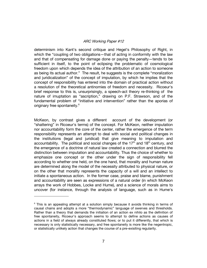determinism into Kant's second critique and Hegel's Philosophy of Right, in which the "coupling of two obligations-that of acting in conformity with the law and that of compensating for damage done or paying the penalty—tends to be sufficient in itself, to the point of eclipsing the problematic of cosmological freedom upon which depends the idea of the attribution of an action to someone as being its actual author." The result, he suggests is the complete "moralization and juridicalization" of the concept of imputation, by which he implies that the concept of responsibility has entered into the domain of practical action without a resolution of the theoretical antinomies of freedom and necessity. Ricoeur's brief response to this is, unsurprisingly, a speech-act theory re-thinking of the nature of imuptation as "ascription," drawing on P.F. Strawson, and of the fundamental problem of "initiative and intervention" rather than the aporias of originary free spontaneity.<sup>6</sup>

McKeon, by contrast gives a different account of the development (or "shattering" in Ricoeur's terms) of the concept. For McKeon, neither imputation nor accountability form the core of the center, rather the emergence of the term responsibility represents an attempt to deal with social and political changes in the institutions (legal and juridical) that give meaning to imputation and accountability. The political and social changes of the 17<sup>th</sup> and 18<sup>th</sup> century, and the emergence of a doctrine of natural law created a connection and blurred the distinction between imputation and accountability. Thus the choice of whether to emphasize one concept or the other under the sign of responsibility fell according to whether one held, on the one hand, that morality and human nature are determined along the model of the necessity attributed to physical nature, or on the other that morality represents the capacity of a will and an intellect to initiate a spontaneous action. In the former case, praise and blame, punishment and accountability are seen as expressions of a natural order (in which McKeon arrays the work of Hobbes, Locke and Hume), and a science of morals aims to uncover (for instance, through the analysis of language, such as in Hume's

<sup>&</sup>lt;sup>6</sup> This is an appealing attempt at a solution simply because it avoids thinking in terms of causal chains and adopts a more "thermodynamic" language of swerves and thresholds. Rather than a theory that demands the initiation of an action ex nihilo as the definition of free spontaneity. Ricoeur's approach seems to attempt to define actions as causes of actions in a field of always already constituted flows; or to put it differently, that which is necessary is only statistically necessary, and free spontaneity is more like the negentropic, or statistically unlikely action that changes the course of a pre-exisiting regularity.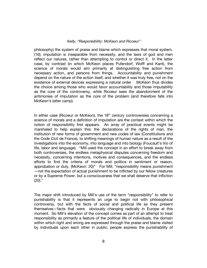philosophy) the system of praise and blame which expresses that moral system. (16); imputation is inseparable from necessity, and the laws of god and men reflect our natures, rather than attempting to control or direct it. In the latter case, by contrast (in which McKeon places Pufendorf, Wolff and Kant), the science of morals would aim primarily at distinguishing free action from necessary action, and persons from things. Accountability and punishment depend on the nature of the action itself, and whether it was truly free, not on the existence of external devices expressing a natural order. McKeon thus divides the choice among those who would favor accountability and those imputability as the core of the controversy, while Ricoeur sees the abandonment of the antimonies of imputation as the core of the problem (and therefore falls into McKeon's latter camp).

In either case (Ricoeur or McKeon), the 18<sup>th</sup> century controversies concerning a science of morals and a definition of imputation are the context within which the notion of responsibility first appears. An array of practical events might be marshaled to help explain this: the declarations of the rights of man, the institution of new forms of government and new codes of law (Constitutions and the Code Civil de France), to shifting meanings of human nature as a result of the investigations into the economy, into language and into biology (Foucault's trio of life, labor and language). "Mill used the concept in an effort to break away from both controversies, the endless metaphysical disputes concerning freedom and necessity, concerning intentions, motives and consequences, and the endless efforts to find the criteria of morals and politics in sentiment or reason, approbation or duty. (McKeon: 20)" For Mill, "responsibility means punishment -not the expectation of actual punishment to be inflicted by our fellow creatures or by a Supreme Power, but a consciousness that we shall deserve that infliction  $(20)."$ 

The major shift introduced by Mill's use of the term "responsibility" to refer to punishability is that it represents an urge to begin not with philosophical controversy, but with the facts of social and political life as they present themselves-facts that were obviously changing radically in Europe at this moment. So Mill's elevation of the concept comes as part of an attempt to treat responsibility as primarily a feature of the political life of individuals, the domain within which right and wrong are expressed through the praise and blame visited by individuals upon each other in public; people express the punishability of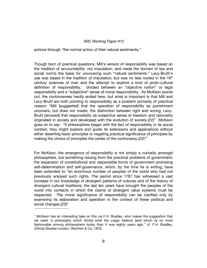actions through "the normal action of their natural sentiments."

Though born of practical questions, Mill's version of responsibility was based on the tradition of accountability, not imputation, and made the domain of law and social norms the basis for uncovering such "natural sentiments." Levy-Bruhl's use was based in the tradition of imputation, but was no less rooted in the 19<sup>th</sup> century sciences of man and the attempt to explore a kind of proto-cultural definition of responsibility, divided between an "objective notion" or legal responsibility and a "subjective" sense of moral responsibility. As McKeon points out, the controversies hardly ended here, but what is important is that Mill and Levy-Bruhl are both pointing to responsibility as a problem primarily of *practical* reason: "Mill [suggested] that the operation of responsibility as punishment uncovers, but does not create, the distinction between right and wrong; Levy-Bruhl [showed] that responsibility as subjective sense of freedom and rationality originated in society and developed with the evolution of society.(22)" McKeon goes on to say: "If philosophers began with the fact of responsibility in its social context, they might explore and guide its extensions and applications without either deserting basic principles or negating practical significance of principles by making the choice of principles the center of the controversy. (22)"

For McKeon, the emergence of responsibility is not simply a curiosity amongst philosophers, but something issuing from the practical problems of government; the expansion of constitutional and *responsible* forms of government promising self-determination and self-governance, which, by the time he is writing, have been extended to "an enormous number of peoples of the world who had not previously enjoyed such rights. The period since 1787 has witnessed a vast increase in our knowledge of divergent patterns of cultures and of the history of divergent cultural traditions; the last ten years have brought the peoples of the world into contacts in which the claims of divergent value systems must be respected. The moral significance of responsibility can be clarified only by examining its elaboration and operation in the context of these political and social changes.(23)"

 $7$  McKeon has an interesting take on this via F.H. Bradley, who makes the suggestion that we need "a philosophy which *thinks* what the vulgar *believe*. [and which is] no more fashionable among philosophers today than it was eighty years ago." cf. F.H. Bradley, Ethical Studies London: Stechert & Co. 1876.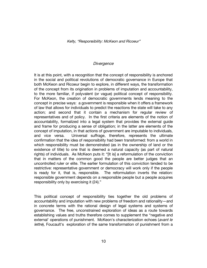## Divergence

It is at this point, with a recognition that the concept of responsibility is anchored in the social and political revolutions of democratic governance in Europe that both McKeon and Ricoeur begin to explore, in different ways, the transformation of the concept from its origination in problems of imputation and accountability, to the more familiar, if polyvalent (or vague) political concept of responsibility. For McKeon, the creation of democratic governments lends meaning to the concept in precise ways: a government is responsible when it offers a framework of law that allows for individuals to predict the reactions the state will take to any action; and second that it contain a mechanism for regular review of representatives and of policy. In the first criteria are elements of the notion of accountability, formalized into a legal system that provides the external guide and frame for producing a sense of obligation; in the latter are elements of the concept of imputation, in that actions of government are imputable to individuals, and vice versa. Universal suffrage, therefore, represents the ultimate confirmation that the idea of responsibility had been transformed: from a world in which responsibility must be demonstrated (as in the ownership of land or the existence of title) to one that is deemed a natural capacity (as part of natural rights) of individuals. As McKeon puts it: "[It is] a reformulation of the conviction that in matters of the common good the people are better judges that an uncontrolled ruler or elite. The earlier formulation of this conviction tended to be restrictive: representative government or democracy will work only if the people is ready for it, that is, responsible. The reformulation inverts the relation: responsible government depends on a responsible people but a people acquires responsibility only by exercising it (24)."

This political concept of responsibility ties together the old problems of accountability and imputation with new problems of freedom and rationality—and in concrete terms with the rational design of legal systems and systems of governance. The free, unconstrained exploration of ideas as a route towards establishing values and truths therefore comes to supplement the "negative and external' operations of punishment. McKeon's characterization echoes (avant le lettre), Foucault's exploration of the same transformation of punishment from a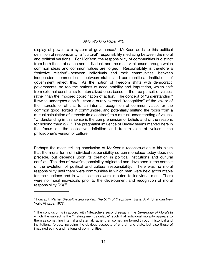display of power to a system of governance.<sup>8</sup> McKeon adds to this political definition of responsibility, a "cultural" responsibility mediating between the moral and political versions. For McKeon, the responsibility of communities is distinct from both those of nation and individual, and the most vital space through which common ideas and common values are forged. Responsibility is therefore a "reflexive relation"--between individuals and their communities. between independent communities, between states and communities. Institutions of government reflect this. As the notion of freedom shifts with democratic governments, so too the notions of accountability and imputation, which shift from external constraints to internalized ones based in the free pursuit of values, rather than the imposed coordination of action. The concept of "understanding" likewise undergoes a shift-- from a purely external "recognition" of the law or of the interests of others, to an internal recognition of common values or the common good, forged in communities, and potentially shifting the focus from a mutual calculation of interests (in a contract) to a mutual understanding of values; "Understanding in this sense is the comprehension of beliefs and of the reasons for holding them (27)." The pragmatist influence of Dewey seems marked here in the focus on the collective definition and transmission of values-- the philosopher's version of culture.

Perhaps the most striking conclusion of McKeon's reconstruction is his claim that the moral form of individual responsibility so commonplace today does not precede, but depends upon its creation in political institutions and cultural conflict: "The idea of *moral* responsibility originated and developed in the context of the evolution of political and cultural responsibility. There was no moral responsibility until there were communities in which men were held accountable for their actions and in which actions were imputed to individual men. There were no moral individuals prior to the development and recognition of moral responsibility. $(28)$ <sup>3</sup>

<sup>&</sup>lt;sup>8</sup> Foucault, Michel *Discipline and punish: The birth of the prison*, trans. A.M. Sheridan New York: Vintage, 1977.

<sup>&</sup>lt;sup>9</sup> The conclusion is in accord with Nitezsche's second essay in the *Genealogy of Morals* in which the subject is the "making men calculable" such that individual morality appears to them as something internal and eternal, rather than something forged through historical and institutional forces, including the obvious suspects of church and state, but also those of imagined ethnic and nationalist communities.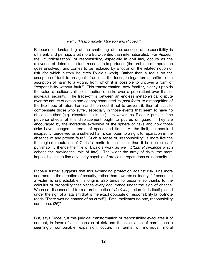Ricoeur's understanding of the shattering of the concept of responsibility is different, and perhaps a bit more Euro-centric than internationalist. For Ricoeur, the "juridicalization" of responsibility, especially in civil law, occurs as the relevance of determining fault recedes in importance (the problem of imputation goes unsolved), and comes to be replaced by a focus on the related notion of risk (for which history he cites Ewald's work). Rather than a focus on the ascription of fault to an agent of actions, the focus, in legal terms, shifts to the ascription of harm to a victim, from which it is possible to uncover a form of "responsibility without fault." This transformation, now familiar, clearly upholds the value of solidarity (the distribution of risks over a population) over that of individual security. The trade-off is between an endless metaphysical dispute over the nature of action and agency conducted ex post facto, to a recognition of the likelihood of future harm and the need, if not to prevent it, then at least to compensate those who suffer, especially in those events that seem to have no obvious author (e.g. disasters, sickness). However, as Ricoeur puts it, "the perverse effects of this displacement ought to put us on quard. They are encouraged by the incredible extension of the sphere of risks and how those risks have changed in terms of space and time... At the limit, an acquired incapacity, perceived as a suffered harm, can open to a right to reparation in the absence of any proven fault." Such a sense of "responsibility" is more like the theological imputation of Christ's merits to the sinner than it is a calculus of punishability (hence the title of Ewald's work as well, *L'Etat Providence* which echoes the providential role of fate). The wider the array of risks, the more impossible it is to find any entity capable of providing reparations or indemnity.

Ricoeur further suggests that this expanding protection against risk runs more and more in the direction of security, rather than towards solidarity: "If becoming a victim is unpredictable, its origins also tends to become so thanks to the calculus of probability that places every occurrence under the sign of chance. When so disconnected from a problematic of *decision*, action finds itself placed under the sign of a fatalism that is the exact opposite of responsibility [a footnote reads "There was no chance of an error!"]. Fate implicates no one, responsibility some one.  $(26)$ "

But, says Ricoeur, if this juridical transformation of responsibility evacuates it of content, in favor of an expansion of risk and the calculation of harm, then a seemingly comparable expansion occurs in terms of individual moral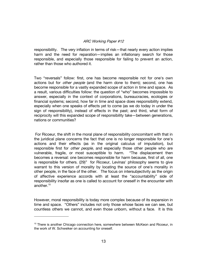responsibility. The very inflation in terms of risk—that nearly every action implies harm and the need for reparation—implies an inflationary search for those responsible, and especially those responsible for failing to prevent an action, rather than those who authored it.

Two "reversals" follow: first, one has become responsible not for one's own actions but for *other people* (and the harm done to them); second, one has become responsible for a vastly expanded scope of action in time and space. As a result, various difficulties follow: the question of "who" becomes impossible to answer, especially in the context of corporations, bureaucracies, ecologies or financial systems; second, how far in time and space does responsibility extend, especially when one speaks of effects yet to come (as we do today in under the sign of responsibility), instead of effects in the past; and third, what form of reciprocity will this expanded scope of responsibility take-between generations, nations or communities?

For Ricoeur, the shift in the moral plane of responsibility concomitant with that in the juridical plane concerns the fact that one is no longer responsible for one's actions and their effects (as in the original calculus of imputation), but responsible first for *other people*, and especially those other people who are vulnerable, fragile, or most susceptible to harm. "The displacement then becomes a reversal: one becomes responsible for harm because, first of all, one is responsible for others. (29)" for Ricoeur, Levinas' philosophy seems to give warrant to this version of morality by locating the source of one's morality in other people, in the face of the other. The focus on intersubjectivity as the origin of affective experience accords with at least the "accountability" side of responsibility insofar as one is called to account for oneself in the encounter with another. $10$ 

However, moral responsibility is today more complex because of its expansion in time and space. "Others" includes not only those whose faces we can see, but countless others we cannot, and even those unborn, without a face. It is this

<sup>&</sup>lt;sup>10</sup> There is another Chicago connection here, somewhere between McKeon and Ricoeur, in the work of W. Schweiker on accounting for oneself.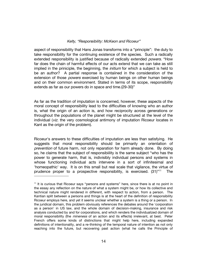aspect of responsibility that Hans Jonas transforms into a "principle": the duty to take responsibility for the continuing existence of the species. Such a radically extended responsibility is justified because of radically extended *powers*. "How far does the chain of harmful effects of our acts extend that we can take as still implied in the priniciple, the beginning, the *initium* for which a subject is held to be an author? A partial response is contailned in the consideration of the extension of those *powers* exercised by human beings on other human beings and on their common environment. Stated in terms of its scope, responsibility extends as far as our powers do in space and time.(29-30)"

As far as the tradition of imputation is concerned, however, these aspects of the moral concept of responsibility lead to the difficulties of knowing who an author is, what the origin of an action is, and how reciprocity across generations or throughout the populations of the planet might be structured at the level of the individual (viz. the very cosmological antimony of imputation Ricoeur locates in Kant as the origin of the problem).

Ricoeur's answers to these difficulties of imputation are less than satisfying. He suggests that moral responsibility should be primarily an orientation of prevention of future harm, not only reparation for harm already done. By doing so, he claims that the subject of responsibility is the same subject "who has the power to generate harm, that is, indivisibly individual persons and systems in whose functioning individual acts intervene in a sort of infinitesimal and 'homeopathic' way. It is on this small but real scale that vigilance, the virtue of prudence proper to a prospective responsibility, is exercised.  $(31)^{v_1}$ **The** 

<sup>&</sup>lt;sup>11</sup> It is curious that Ricoeur says "persons and systems" here, since there is at no point in the essay any reflection on the nature of what a system might be, or how its collective and technical nature might rendered in different, with respect to action, from a person. The Kantian split between a persons and things is at the heart of the definition of responsibility Ricoeur employs here, and yet it seems unclear whether a system is a thing or a person. In the juridical domain, this problem obviously references the debates around the 'corporation' as a person' in US law, and the whole domain of decision-making, insurance and risk analysis conducted by and for corporations, and which renders the individualized domain of moral responsibility (the *mineness* of an action and its effects) irrelevant, at best. Peter French offers some kinds of distinctions that might help here, including expanded definitions of intentionality, and a re-thinking of the temporal nature of intention as not only reaching into the future, but recovering past action (what he calls the Principle of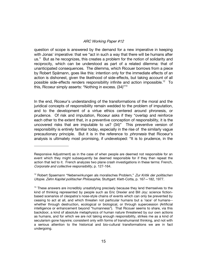question of scope is answered by the demand for a new imperative in keeping with Jonas' imperative: that we "act in such a way that there will be humans after us." But as he recognizes, this creates a problem for the notion of solidarity and reciprocity, which can be understood as part of a related dilemma: that of unanticipated consequences. The dilemma, which Ricouer borrows from a piece by Robert Spämann, goes like this: intention only for the immediate effects of an action is dishonest, given the likelihood of side-effects, but taking account of all possible side-effects renders responsibility infinite and action impossible.<sup>12</sup> To this, Ricoeur simply asserts: "Nothing in excess. (34)"<sup>13</sup>

In the end, Ricoeur's understanding of the transformations of the moral and the juridical concepts of responsibility remain wedded to the problem of imputation, and to the development of a virtue ethics centered around phronesis, or prudence. Of risk and imputation, Ricoeur asks if they "overlap and reinforce each other to the extent that, in a preventive conception of responsibility, it is the uncovered risks that are imputable to us? (34)" This preventive version of responsibility is entirely familiar today, especially in the rise of the similarly vague precautionary principle. But it is in the reference to *phronesis* that Ricoeur's analysis is ultimately most promising, if undeveloped: "It is to prudence, in the

Responsive Adjustment) as in the case of when people are deemed not responsible for an event which they might subsequently be deemed responsible for if they then repeat the action that led to it. French analyzes two plane crash investigations in these terms: French, Corporate and collective responsibility, p. 127-164.

<sup>&</sup>lt;sup>12</sup> Robert Spaemann "Nebenwirkungen als moralisches Problem," Zur Kritik der politischen Utopie. Zehn Kapitel politischer Philosophie, Stuttgart: Klett-Cotta, p. 167-182, 1977.

<sup>&</sup>lt;sup>13</sup> These answers are incredibly unsatisfying precisely because they lend themselves to the kind of thinking represented by people such as Eric Drexler and Bill Joy; science fictionbased scenarios of cleopatra's nose-style chains of events which can only be prevented by ceasing to act at all, and which threaten not particular humans but a 'race' of humans-whether through destruction, ecological or biological, or through supercession (Artificial intelligence or enhancement beyond "humanness"). That Ricouer seems to share, via this backdoor, a kind of absolute metaphysics of human nature threatened by our own actions as humans, and for which we are not taking enough responsibility, strikes me as a kind of secularism gone haywire; consistent only with forms of transhumanist thinking, and not with a serious attention to the historical and bio-cultural transformations we are in fact undergoing.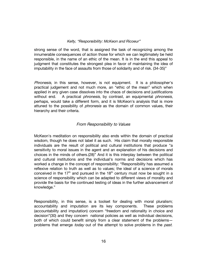strong sense of the word, that is assigned the task of recognizing among the innumerable consequences of action those for which we can legitimately be held responsible, in the name of an ethic of the mean. It is in the end this appeal to judgment that constitutes the strongest plea in favor of maintaining the idea of imputability in the face of assaults from those of solidarity and of risk. (34-35)"

*Phronesis*, in this sense, however, is not equipment. It is a philosopher's practical judgement and not much more, an "ethic of the mean" which when applied in any given case dissolves into the chaos of decisions and justifications A practical *phronesis*, by contrast, an equipmental *phronesis*, without end. perhaps, would take a different form, and it is McKeon's analysis that is more attuned to the possibility of *phronesis* as the domain of common values, their hierarchy and their criteria.

# From Responsibility to Values

McKeon's meditation on responsibility also ends within the domain of practical wisdom, though he does not label it as such. His claim that morally responsible individuals are the result of political and cultural institutions that produce "a sensitivity to moral issues in the agent and an explanation of his decisions and choices in the minds of others.(28)" And it is this interplay between the political and cultural institutions and the individual's norms and decisions which has worked a change in the concept of responsibility: "Responsibility has assumed a reflexive relation to truth as well as to values; the ideal of a science of morals conceived in the 17<sup>th</sup> and pursued in the 18<sup>th</sup> century must now be sought in a science of responsibility which can be adapted to different views of morality and provide the basis for the continued testing of ideas in the further advancement of knowledge."

Responsibility, in this sense, is a toolset for dealing with moral pluralism; accountability and imputation are its key components. These problems (accountability and imputation) concern "freedom and rationality in choice and decision"(30) and they concern national policies as well as individual decisions, both of which could benefit simply from a clear statement of the problemsproblems that emerge *today* out of the attempt to solve problems in the *past*.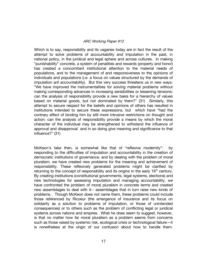Which is to say, responsibility and its vagaries today are in fact the result of the attempt to solve problems of accountability and imputation in the past, in national policy, in the juridical and legal sphere and across cultures. In making "punishability" concrete, a system of penalities and rewards (property and honor) has created a concomitant institutional attention to the material needs of populations, and to the management of and responsiveness to the opinions of individuals and populations (i.e. a focus on values structured by the demands of imputation anf accountability). But this very success threatens us in new ways: "We have improved the instrumentalities for solving material problems without making corresponding advances in increasing sensibilities or lessening tensions: can the analysis of responsibility provide a new basis for a hierarchy of values based on material goods, but not dominated by them?" (31) Similarly, this attempt to secure respect for the beliefs and opinions of others has resulted in institutions intended to secure these expressions, but which have "had the contrary effect of binding him by still more intrusive restrictions on thought and action: can the analysis of responsibility provide a means by which the moral character of the individual may be strengthened to withstand the influence of approval and disapproval and in so doing give meaning and significance to that influence?" (31)

McKeon's take then, is somewhat like that of "reflexive modernity": bv responding to the difficulties of imputation and accountability in the creation of democratic institutions of governance, and by dealing with the problem of moral pluralism, we have created new problems for the meaning and achievement of responsibility. These reflexively generated problems might be clarified by returning to the concept of responsibility and its origins in the early 19<sup>th</sup> century. By creating institutions (constitutional governments, legal systems, elections) and new technologies for assessing imputation and managing accountability, we have confronted the problem of moral pluralism in concrete terms and created new assemblages to deal with it-- assemblages that in turn raise new kinds of problems. Though McKeon does not name them, these problems could include those referenced by Ricoeur (the emergence of insurance and its focus on solidarity as a solution to problems of imputation, or those of unintended consequences) or to others such as the problem of conflicting legal or juridical systems across nations and empires. What he does seem to suggest, however, is that no matter how far moral pluralism as a problem seems from concerns such as those raised by systemic risk, ecological crisis or technological failure-it is nonetheless at the origin of our confusion about how to handle them.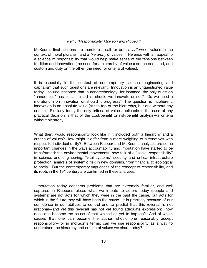McKeon's final sections are therefore a call for both a *criteria* of values in the context of moral pluralism and a *hierarchy* of values. He ends with an appeal to a science of responsibility that would help make sense of the tensions between tradition and innovation (the need for a hierarchy of values) on the one hand, and custom and duty on the other (the need for criteria of values).

It is especially in the context of contemporary science, engineering and capitalism that such questions are relevant. Innovation is an unquestioned value today-so unquestioned that in nanotechnology, for instance, the only question "nanoethics" has so far raised is: should we innovate or not? Do we need a moratorium on innovation or should it progress? The question is incoherent: innovation is an absolute value (at the top of the hierarchy), but one without any criteria. Similarly today the only criteria of value applicaple in the case of any practical decision is that of the cost/benefit or risk/benefit analysis—a criteria without hierarchy.

What then, would responsibility look like if it included both a hierarchy and a criteria of values? How might it differ from a mere weighing of alternatives with respect to individual utility? Between Ricoeur and McKeon's analyses are some important changes in the ways accountability and imputation have started to be transformed: the environmental movements, new talk of a "social responsibility" in science and engineering, "vital systems" security and critical infrastructure protection, analysis of systemic risk in new domains, from financial to ecological to social. But the contemporary vagueness of the concept of responsibility, and its roots in the 19<sup>th</sup> century are confirmed in these analyses.

Imputation today concerns problems that are extremely familiar, and well captured in Ricoeur's piece: what we impute to actors today (people and systems) are not acts for which they were in the past the cause, but acts for which in the future they will have been the cause. It is precisely because of our confidence in our abilities to control and to predict that this reversal is not irrational—and yet this reversal has not yet found adequate expression: how does one become the cause of that which has yet to happen? And of which causes that one can become the author, should one reasonably accept responsiblity-- or in mcKeon's terms, can we use responsibility as a way to understand the hierarchy and criteria of values we share today?